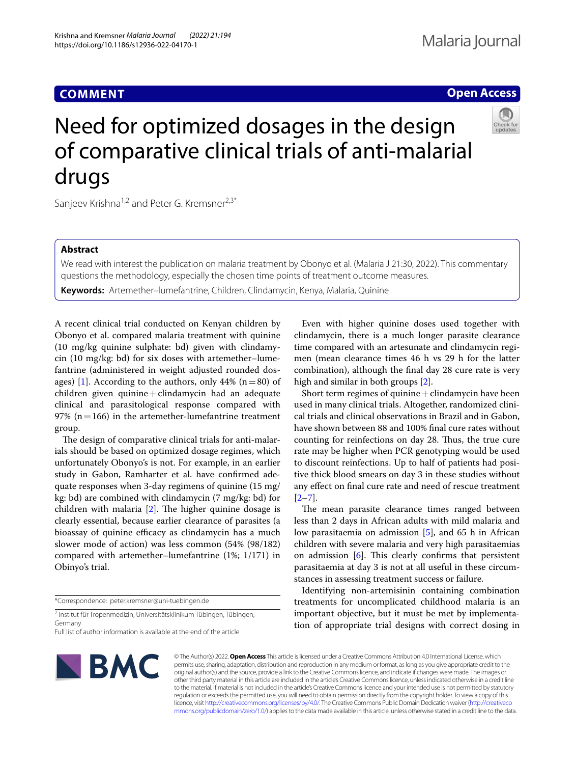# **COMMENT**

# **Open Access**



# Need for optimized dosages in the design of comparative clinical trials of anti-malarial drugs

Sanjeev Krishna<sup>1,2</sup> and Peter G. Kremsner<sup>2,3\*</sup>

# **Abstract**

We read with interest the publication on malaria treatment by Obonyo et al. (Malaria J 21:30, 2022). This commentary questions the methodology, especially the chosen time points of treatment outcome measures.

**Keywords:** Artemether–lumefantrine, Children, Clindamycin, Kenya, Malaria, Quinine

A recent clinical trial conducted on Kenyan children by Obonyo et al. compared malaria treatment with quinine (10 mg/kg quinine sulphate: bd) given with clindamycin (10 mg/kg: bd) for six doses with artemether–lumefantrine (administered in weight adjusted rounded dos-ages) [[1\]](#page-1-0). According to the authors, only 44% ( $n=80$ ) of children given quinine  $+$  clindamycin had an adequate clinical and parasitological response compared with 97% ( $n=166$ ) in the artemether-lumefantrine treatment group.

The design of comparative clinical trials for anti-malarials should be based on optimized dosage regimes, which unfortunately Obonyo's is not. For example, in an earlier study in Gabon, Ramharter et al. have confrmed adequate responses when 3-day regimens of quinine (15 mg/ kg: bd) are combined with clindamycin (7 mg/kg: bd) for children with malaria  $[2]$ . The higher quinine dosage is clearly essential, because earlier clearance of parasites (a bioassay of quinine efficacy as clindamycin has a much slower mode of action) was less common (54% (98/182) compared with artemether–lumefantrine (1%; 1/171) in Obinyo's trial.

\*Correspondence: peter.kremsner@uni-tuebingen.de

2 Institut für Tropenmedizin, Universitätsklinikum Tübingen, Tübingen, Germany

Full list of author information is available at the end of the article



Even with higher quinine doses used together with clindamycin, there is a much longer parasite clearance time compared with an artesunate and clindamycin regimen (mean clearance times 46 h vs 29 h for the latter combination), although the fnal day 28 cure rate is very high and similar in both groups [\[2](#page-1-1)].

Short term regimes of quinine  $+$  clindamycin have been used in many clinical trials. Altogether, randomized clinical trials and clinical observations in Brazil and in Gabon, have shown between 88 and 100% fnal cure rates without counting for reinfections on day 28. Thus, the true cure rate may be higher when PCR genotyping would be used to discount reinfections. Up to half of patients had positive thick blood smears on day 3 in these studies without any efect on fnal cure rate and need of rescue treatment  $[2-7]$  $[2-7]$ .

The mean parasite clearance times ranged between less than 2 days in African adults with mild malaria and low parasitaemia on admission [\[5\]](#page-1-3), and 65 h in African children with severe malaria and very high parasitaemias on admission  $[6]$ . This clearly confirms that persistent parasitaemia at day 3 is not at all useful in these circumstances in assessing treatment success or failure.

Identifying non-artemisinin containing combination treatments for uncomplicated childhood malaria is an important objective, but it must be met by implementation of appropriate trial designs with correct dosing in

© The Author(s) 2022. **Open Access** This article is licensed under a Creative Commons Attribution 4.0 International License, which permits use, sharing, adaptation, distribution and reproduction in any medium or format, as long as you give appropriate credit to the original author(s) and the source, provide a link to the Creative Commons licence, and indicate if changes were made. The images or other third party material in this article are included in the article's Creative Commons licence, unless indicated otherwise in a credit line to the material. If material is not included in the article's Creative Commons licence and your intended use is not permitted by statutory regulation or exceeds the permitted use, you will need to obtain permission directly from the copyright holder. To view a copy of this licence, visit [http://creativecommons.org/licenses/by/4.0/.](http://creativecommons.org/licenses/by/4.0/) The Creative Commons Public Domain Dedication waiver ([http://creativeco](http://creativecommons.org/publicdomain/zero/1.0/) [mmons.org/publicdomain/zero/1.0/](http://creativecommons.org/publicdomain/zero/1.0/)) applies to the data made available in this article, unless otherwise stated in a credit line to the data.